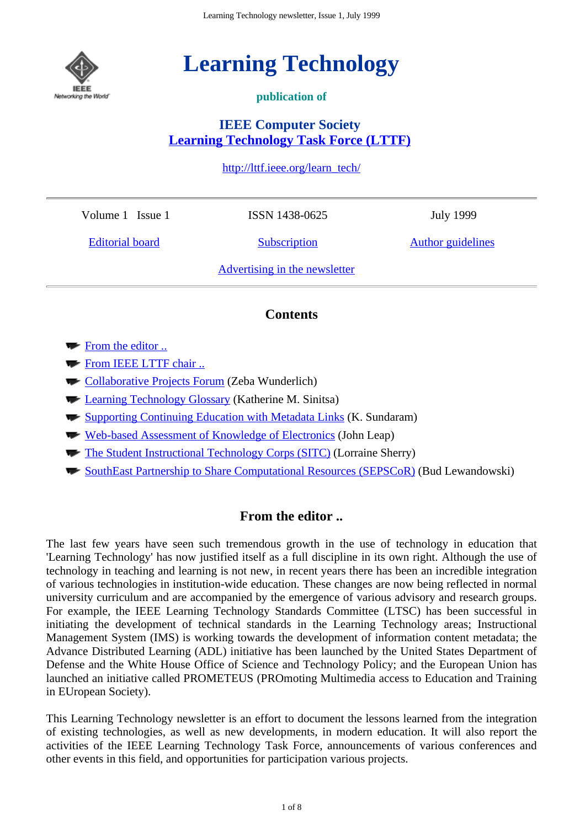

# **Learning Technology**

## **publication of**

# **IEEE Computer Society Learning Technology Task Force (LTTF)**

http://lttf.ieee.org/learn\_tech/

Volume 1 Issue 1

ISSN 1438-0625

Editorial board

**Subscription** 

July 1999

Author guidelines

Advertising in the newsletter

# **Contents**

- From the editor ...
- From IEEE LTTF chair ..
- Collaborative Projects Forum (Zeba Wunderlich)
- **Learning Technology Glossary (Katherine M. Sinitsa)**
- **Supporting Continuing Education with Metadata Links (K. Sundaram)**
- Web-based Assessment of Knowledge of Electronics (John Leap)
- The Student Instructional Technology Corps (SITC) (Lorraine Sherry)
- SouthEast Partnership to Share Computational Resources (SEPSCoR) (Bud Lewandowski)

# **From the editor ..**

The last few years have seen such tremendous growth in the use of technology in education that 'Learning Technology' has now justified itself as a full discipline in its own right. Although the use of technology in teaching and learning is not new, in recent years there has been an incredible integration of various technologies in institution-wide education. These changes are now being reflected in normal university curriculum and are accompanied by the emergence of various advisory and research groups. For example, the IEEE Learning Technology Standards Committee (LTSC) has been successful in initiating the development of technical standards in the Learning Technology areas; Instructional Management System (IMS) is working towards the development of information content metadata; the Advance Distributed Learning (ADL) initiative has been launched by the United States Department of Defense and the White House Office of Science and Technology Policy; and the European Union has launched an initiative called PROMETEUS (PROmoting Multimedia access to Education and Training in EUropean Society).

This Learning Technology newsletter is an effort to document the lessons learned from the integration of existing technologies, as well as new developments, in modern education. It will also report the activities of the IEEE Learning Technology Task Force, announcements of various conferences and other events in this field, and opportunities for participation various projects.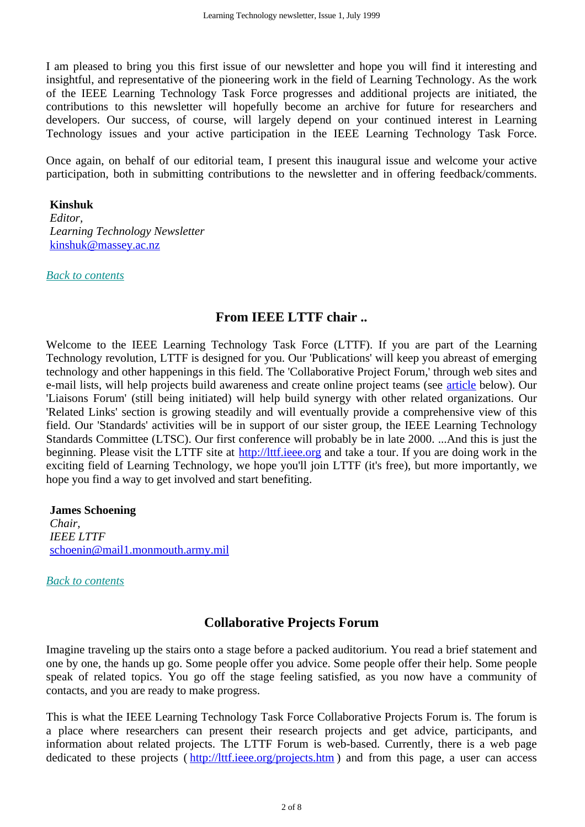I am pleased to bring you this first issue of our newsletter and hope you will find it interesting and insightful, and representative of the pioneering work in the field of Learning Technology. As the work of the IEEE Learning Technology Task Force progresses and additional projects are initiated, the contributions to this newsletter will hopefully become an archive for future for researchers and developers. Our success, of course, will largely depend on your continued interest in Learning Technology issues and your active participation in the IEEE Learning Technology Task Force.

Once again, on behalf of our editorial team, I present this inaugural issue and welcome your active participation, both in submitting contributions to the newsletter and in offering feedback/comments.

#### **Kinshuk**

*Editor, Learning Technology Newsletter* kinshuk@massey.ac.nz

*Back to contents*

## **From IEEE LTTF chair ..**

Welcome to the IEEE Learning Technology Task Force (LTTF). If you are part of the Learning Technology revolution, LTTF is designed for you. Our 'Publications' will keep you abreast of emerging technology and other happenings in this field. The 'Collaborative Project Forum,' through web sites and e-mail lists, will help projects build awareness and create online project teams (see article below). Our 'Liaisons Forum' (still being initiated) will help build synergy with other related organizations. Our 'Related Links' section is growing steadily and will eventually provide a comprehensive view of this field. Our 'Standards' activities will be in support of our sister group, the IEEE Learning Technology Standards Committee (LTSC). Our first conference will probably be in late 2000. ...And this is just the beginning. Please visit the LTTF site at http://lttf.ieee.org and take a tour. If you are doing work in the exciting field of Learning Technology, we hope you'll join LTTF (it's free), but more importantly, we hope you find a way to get involved and start benefiting.

**James Schoening** *Chair, IEEE LTTF* schoenin@mail1.monmouth.army.mil

*Back to contents*

# **Collaborative Projects Forum**

Imagine traveling up the stairs onto a stage before a packed auditorium. You read a brief statement and one by one, the hands up go. Some people offer you advice. Some people offer their help. Some people speak of related topics. You go off the stage feeling satisfied, as you now have a community of contacts, and you are ready to make progress.

This is what the IEEE Learning Technology Task Force Collaborative Projects Forum is. The forum is a place where researchers can present their research projects and get advice, participants, and information about related projects. The LTTF Forum is web-based. Currently, there is a web page dedicated to these projects (http://lttf.ieee.org/projects.htm) and from this page, a user can access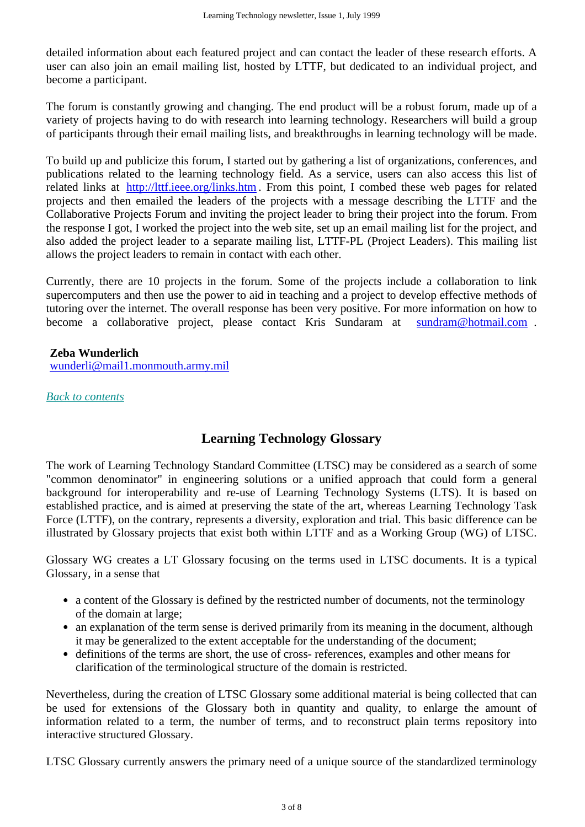detailed information about each featured project and can contact the leader of these research efforts. A user can also join an email mailing list, hosted by LTTF, but dedicated to an individual project, and become a participant.

The forum is constantly growing and changing. The end product will be a robust forum, made up of a variety of projects having to do with research into learning technology. Researchers will build a group of participants through their email mailing lists, and breakthroughs in learning technology will be made.

To build up and publicize this forum, I started out by gathering a list of organizations, conferences, and publications related to the learning technology field. As a service, users can also access this list of related links at http://lttf.ieee.org/links.htm. From this point, I combed these web pages for related projects and then emailed the leaders of the projects with a message describing the LTTF and the Collaborative Projects Forum and inviting the project leader to bring their project into the forum. From the response I got, I worked the project into the web site, set up an email mailing list for the project, and also added the project leader to a separate mailing list, LTTF-PL (Project Leaders). This mailing list allows the project leaders to remain in contact with each other.

Currently, there are 10 projects in the forum. Some of the projects include a collaboration to link supercomputers and then use the power to aid in teaching and a project to develop effective methods of tutoring over the internet. The overall response has been very positive. For more information on how to become a collaborative project, please contact Kris Sundaram at sundram@hotmail.com .

#### **Zeba Wunderlich**

wunderli@mail1.monmouth.army.mil

*Back to contents*

## **Learning Technology Glossary**

The work of Learning Technology Standard Committee (LTSC) may be considered as a search of some "common denominator" in engineering solutions or a unified approach that could form a general background for interoperability and re-use of Learning Technology Systems (LTS). It is based on established practice, and is aimed at preserving the state of the art, whereas Learning Technology Task Force (LTTF), on the contrary, represents a diversity, exploration and trial. This basic difference can be illustrated by Glossary projects that exist both within LTTF and as a Working Group (WG) of LTSC.

Glossary WG creates a LT Glossary focusing on the terms used in LTSC documents. It is a typical Glossary, in a sense that

- a content of the Glossary is defined by the restricted number of documents, not the terminology of the domain at large;
- an explanation of the term sense is derived primarily from its meaning in the document, although it may be generalized to the extent acceptable for the understanding of the document;
- definitions of the terms are short, the use of cross- references, examples and other means for clarification of the terminological structure of the domain is restricted.

Nevertheless, during the creation of LTSC Glossary some additional material is being collected that can be used for extensions of the Glossary both in quantity and quality, to enlarge the amount of information related to a term, the number of terms, and to reconstruct plain terms repository into interactive structured Glossary.

LTSC Glossary currently answers the primary need of a unique source of the standardized terminology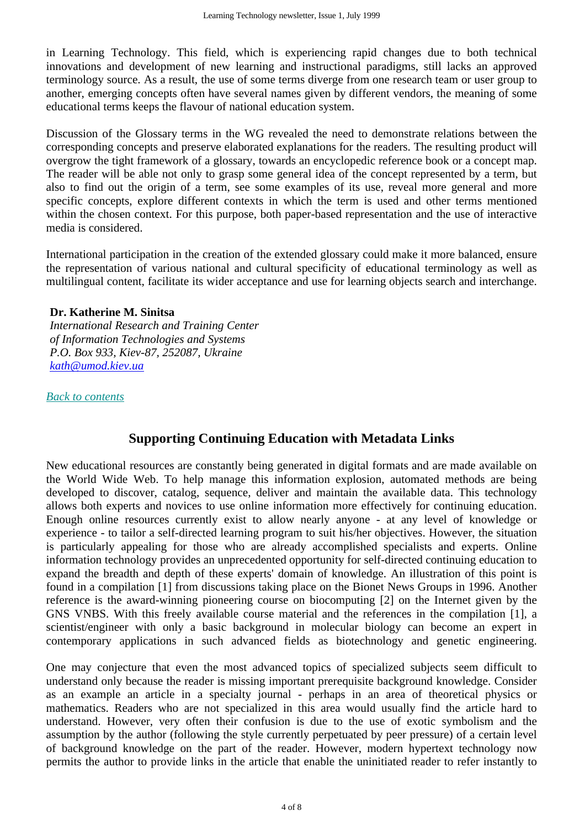in Learning Technology. This field, which is experiencing rapid changes due to both technical innovations and development of new learning and instructional paradigms, still lacks an approved terminology source. As a result, the use of some terms diverge from one research team or user group to another, emerging concepts often have several names given by different vendors, the meaning of some educational terms keeps the flavour of national education system.

Discussion of the Glossary terms in the WG revealed the need to demonstrate relations between the corresponding concepts and preserve elaborated explanations for the readers. The resulting product will overgrow the tight framework of a glossary, towards an encyclopedic reference book or a concept map. The reader will be able not only to grasp some general idea of the concept represented by a term, but also to find out the origin of a term, see some examples of its use, reveal more general and more specific concepts, explore different contexts in which the term is used and other terms mentioned within the chosen context. For this purpose, both paper-based representation and the use of interactive media is considered.

International participation in the creation of the extended glossary could make it more balanced, ensure the representation of various national and cultural specificity of educational terminology as well as multilingual content, facilitate its wider acceptance and use for learning objects search and interchange.

#### **Dr. Katherine M. Sinitsa**

*International Research and Training Center of Information Technologies and Systems P.O. Box 933, Kiev-87, 252087, Ukraine kath@umod.kiev.ua*

*Back to contents*

## **Supporting Continuing Education with Metadata Links**

New educational resources are constantly being generated in digital formats and are made available on the World Wide Web. To help manage this information explosion, automated methods are being developed to discover, catalog, sequence, deliver and maintain the available data. This technology allows both experts and novices to use online information more effectively for continuing education. Enough online resources currently exist to allow nearly anyone - at any level of knowledge or experience - to tailor a self-directed learning program to suit his/her objectives. However, the situation is particularly appealing for those who are already accomplished specialists and experts. Online information technology provides an unprecedented opportunity for self-directed continuing education to expand the breadth and depth of these experts' domain of knowledge. An illustration of this point is found in a compilation [1] from discussions taking place on the Bionet News Groups in 1996. Another reference is the award-winning pioneering course on biocomputing [2] on the Internet given by the GNS VNBS. With this freely available course material and the references in the compilation [1], a scientist/engineer with only a basic background in molecular biology can become an expert in contemporary applications in such advanced fields as biotechnology and genetic engineering.

One may conjecture that even the most advanced topics of specialized subjects seem difficult to understand only because the reader is missing important prerequisite background knowledge. Consider as an example an article in a specialty journal - perhaps in an area of theoretical physics or mathematics. Readers who are not specialized in this area would usually find the article hard to understand. However, very often their confusion is due to the use of exotic symbolism and the assumption by the author (following the style currently perpetuated by peer pressure) of a certain level of background knowledge on the part of the reader. However, modern hypertext technology now permits the author to provide links in the article that enable the uninitiated reader to refer instantly to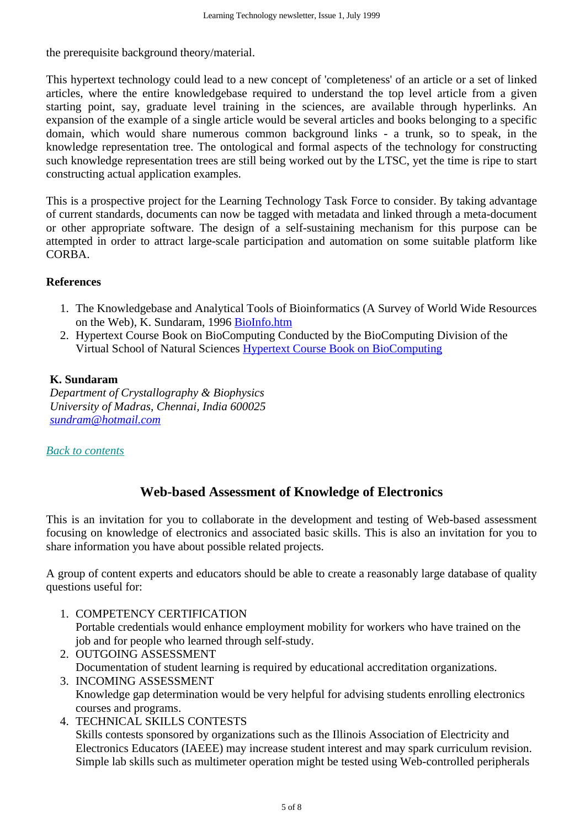the prerequisite background theory/material.

This hypertext technology could lead to a new concept of 'completeness' of an article or a set of linked articles, where the entire knowledgebase required to understand the top level article from a given starting point, say, graduate level training in the sciences, are available through hyperlinks. An expansion of the example of a single article would be several articles and books belonging to a specific domain, which would share numerous common background links - a trunk, so to speak, in the knowledge representation tree. The ontological and formal aspects of the technology for constructing such knowledge representation trees are still being worked out by the LTSC, yet the time is ripe to start constructing actual application examples.

This is a prospective project for the Learning Technology Task Force to consider. By taking advantage of current standards, documents can now be tagged with metadata and linked through a meta-document or other appropriate software. The design of a self-sustaining mechanism for this purpose can be attempted in order to attract large-scale participation and automation on some suitable platform like CORBA.

#### **References**

- 1. The Knowledgebase and Analytical Tools of Bioinformatics (A Survey of World Wide Resources on the Web), K. Sundaram, 1996 BioInfo.htm
- 2. Hypertext Course Book on BioComputing Conducted by the BioComputing Division of the Virtual School of Natural Sciences Hypertext Course Book on BioComputing

#### **K. Sundaram**

*Department of Crystallography & Biophysics University of Madras, Chennai, India 600025 sundram@hotmail.com*

### *Back to contents*

# **Web-based Assessment of Knowledge of Electronics**

This is an invitation for you to collaborate in the development and testing of Web-based assessment focusing on knowledge of electronics and associated basic skills. This is also an invitation for you to share information you have about possible related projects.

A group of content experts and educators should be able to create a reasonably large database of quality questions useful for:

- 1. COMPETENCY CERTIFICATION Portable credentials would enhance employment mobility for workers who have trained on the job and for people who learned through self-study.
- 2. OUTGOING ASSESSMENT Documentation of student learning is required by educational accreditation organizations. 3. INCOMING ASSESSMENT

Knowledge gap determination would be very helpful for advising students enrolling electronics courses and programs.

4. TECHNICAL SKILLS CONTESTS Skills contests sponsored by organizations such as the Illinois Association of Electricity and Electronics Educators (IAEEE) may increase student interest and may spark curriculum revision. Simple lab skills such as multimeter operation might be tested using Web-controlled peripherals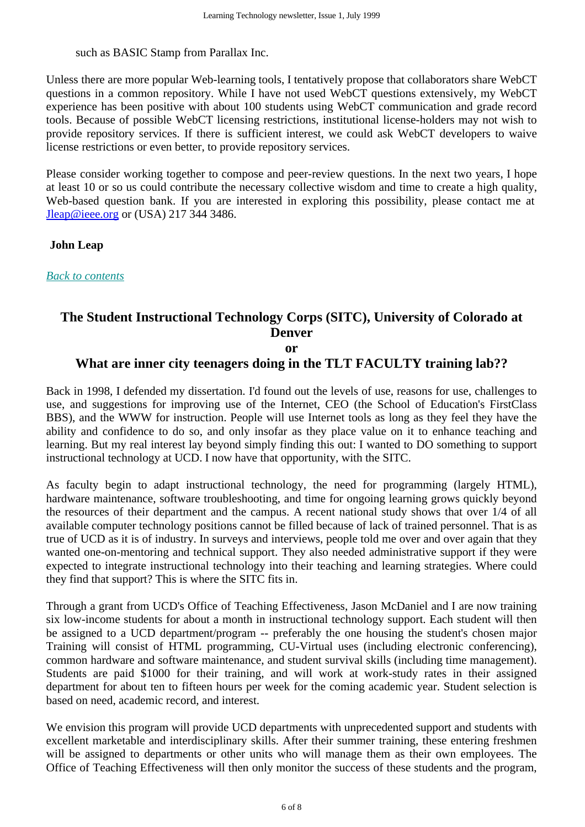such as BASIC Stamp from Parallax Inc.

Unless there are more popular Web-learning tools, I tentatively propose that collaborators share WebCT questions in a common repository. While I have not used WebCT questions extensively, my WebCT experience has been positive with about 100 students using WebCT communication and grade record tools. Because of possible WebCT licensing restrictions, institutional license-holders may not wish to provide repository services. If there is sufficient interest, we could ask WebCT developers to waive license restrictions or even better, to provide repository services.

Please consider working together to compose and peer-review questions. In the next two years, I hope at least 10 or so us could contribute the necessary collective wisdom and time to create a high quality, Web-based question bank. If you are interested in exploring this possibility, please contact me at Jleap@ieee.org or (USA) 217 344 3486.

**John Leap**

*Back to contents*

# **The Student Instructional Technology Corps (SITC), University of Colorado at Denver**

**or**

## **What are inner city teenagers doing in the TLT FACULTY training lab??**

Back in 1998, I defended my dissertation. I'd found out the levels of use, reasons for use, challenges to use, and suggestions for improving use of the Internet, CEO (the School of Education's FirstClass BBS), and the WWW for instruction. People will use Internet tools as long as they feel they have the ability and confidence to do so, and only insofar as they place value on it to enhance teaching and learning. But my real interest lay beyond simply finding this out: I wanted to DO something to support instructional technology at UCD. I now have that opportunity, with the SITC.

As faculty begin to adapt instructional technology, the need for programming (largely HTML), hardware maintenance, software troubleshooting, and time for ongoing learning grows quickly beyond the resources of their department and the campus. A recent national study shows that over 1/4 of all available computer technology positions cannot be filled because of lack of trained personnel. That is as true of UCD as it is of industry. In surveys and interviews, people told me over and over again that they wanted one-on-mentoring and technical support. They also needed administrative support if they were expected to integrate instructional technology into their teaching and learning strategies. Where could they find that support? This is where the SITC fits in.

Through a grant from UCD's Office of Teaching Effectiveness, Jason McDaniel and I are now training six low-income students for about a month in instructional technology support. Each student will then be assigned to a UCD department/program -- preferably the one housing the student's chosen major Training will consist of HTML programming, CU-Virtual uses (including electronic conferencing), common hardware and software maintenance, and student survival skills (including time management). Students are paid \$1000 for their training, and will work at work-study rates in their assigned department for about ten to fifteen hours per week for the coming academic year. Student selection is based on need, academic record, and interest.

We envision this program will provide UCD departments with unprecedented support and students with excellent marketable and interdisciplinary skills. After their summer training, these entering freshmen will be assigned to departments or other units who will manage them as their own employees. The Office of Teaching Effectiveness will then only monitor the success of these students and the program,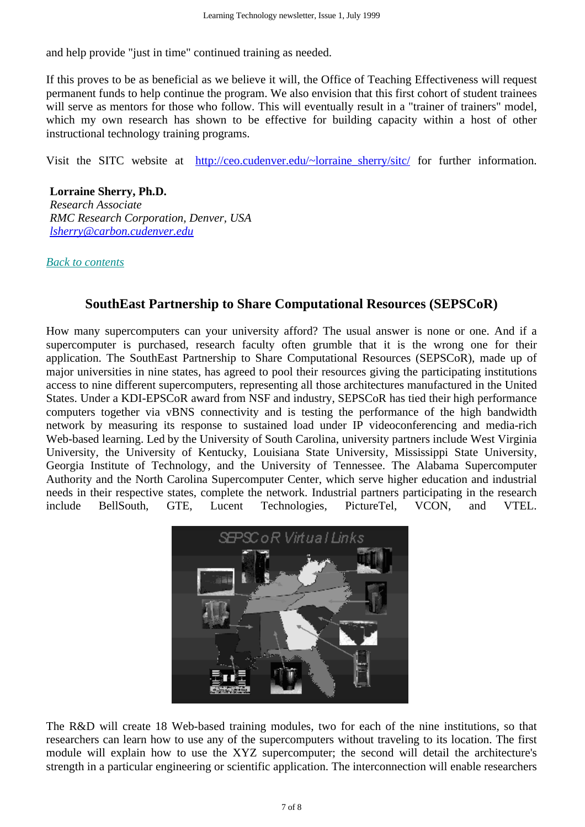and help provide "just in time" continued training as needed.

If this proves to be as beneficial as we believe it will, the Office of Teaching Effectiveness will request permanent funds to help continue the program. We also envision that this first cohort of student trainees will serve as mentors for those who follow. This will eventually result in a "trainer of trainers" model, which my own research has shown to be effective for building capacity within a host of other instructional technology training programs.

Visit the SITC website at http://ceo.cudenver.edu/~lorraine sherry/sitc/ for further information.

#### **Lorraine Sherry, Ph.D.**

*Research Associate RMC Research Corporation, Denver, USA lsherry@carbon.cudenver.edu*

*Back to contents*

# **SouthEast Partnership to Share Computational Resources (SEPSCoR)**

How many supercomputers can your university afford? The usual answer is none or one. And if a supercomputer is purchased, research faculty often grumble that it is the wrong one for their application. The SouthEast Partnership to Share Computational Resources (SEPSCoR), made up of major universities in nine states, has agreed to pool their resources giving the participating institutions access to nine different supercomputers, representing all those architectures manufactured in the United States. Under a KDI-EPSCoR award from NSF and industry, SEPSCoR has tied their high performance computers together via vBNS connectivity and is testing the performance of the high bandwidth network by measuring its response to sustained load under IP videoconferencing and media-rich Web-based learning. Led by the University of South Carolina, university partners include West Virginia University, the University of Kentucky, Louisiana State University, Mississippi State University, Georgia Institute of Technology, and the University of Tennessee. The Alabama Supercomputer Authority and the North Carolina Supercomputer Center, which serve higher education and industrial needs in their respective states, complete the network. Industrial partners participating in the research include BellSouth, GTE, Lucent Technologies, PictureTel, VCON, and VTEL.



The R&D will create 18 Web-based training modules, two for each of the nine institutions, so that researchers can learn how to use any of the supercomputers without traveling to its location. The first module will explain how to use the XYZ supercomputer; the second will detail the architecture's strength in a particular engineering or scientific application. The interconnection will enable researchers